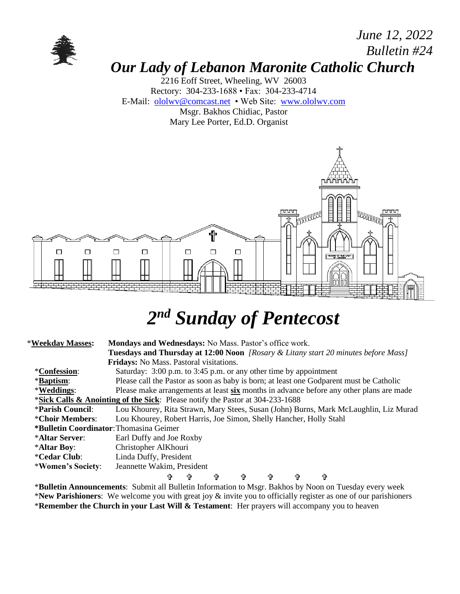

#### *June 12, 2022 Bulletin #24 Our Lady of Lebanon Maronite Catholic Church*

2216 Eoff Street, Wheeling, WV 26003 Rectory: 304-233-1688 • Fax: 304-233-4714 E-Mail: [ololwv@comcast.net](mailto:ololwv@comcast.net) • Web Site: [www.ololwv.com](http://www.ololwv.com/) Msgr. Bakhos Chidiac, Pastor Mary Lee Porter, Ed.D. Organist



# *2 nd Sunday of Pentecost*

| *Weekday Masses:                                                                         | Mondays and Wednesdays: No Mass. Pastor's office work.                                    |  |  |  |  |  |
|------------------------------------------------------------------------------------------|-------------------------------------------------------------------------------------------|--|--|--|--|--|
|                                                                                          | <b>Tuesdays and Thursday at 12:00 Noon</b> [Rosary & Litany start 20 minutes before Mass] |  |  |  |  |  |
|                                                                                          | Fridays: No Mass. Pastoral visitations.                                                   |  |  |  |  |  |
| <i>*Confession:</i>                                                                      | Saturday: 3:00 p.m. to 3:45 p.m. or any other time by appointment                         |  |  |  |  |  |
| <i><b>*Baptism:</b></i>                                                                  | Please call the Pastor as soon as baby is born; at least one Godparent must be Catholic   |  |  |  |  |  |
| *Weddings:                                                                               | Please make arrangements at least six months in advance before any other plans are made   |  |  |  |  |  |
| <b>*Sick Calls &amp; Anointing of the Sick:</b> Please notify the Pastor at 304-233-1688 |                                                                                           |  |  |  |  |  |
| <b>*Parish Council:</b>                                                                  | Lou Khourey, Rita Strawn, Mary Stees, Susan (John) Burns, Mark McLaughlin, Liz Murad      |  |  |  |  |  |
| *Choir Members:                                                                          | Lou Khourey, Robert Harris, Joe Simon, Shelly Hancher, Holly Stahl                        |  |  |  |  |  |
| *Bulletin Coordinator: Thomasina Geimer                                                  |                                                                                           |  |  |  |  |  |
| *Altar Server:                                                                           | Earl Duffy and Joe Roxby                                                                  |  |  |  |  |  |
| *Altar Boy:                                                                              | Christopher AlKhouri                                                                      |  |  |  |  |  |
| <i><b>*Cedar Club:</b></i>                                                               | Linda Duffy, President                                                                    |  |  |  |  |  |
| *Women's Society:                                                                        | Jeannette Wakim, President                                                                |  |  |  |  |  |
|                                                                                          | 令<br>⇧<br>╬<br>╬<br>╬<br>令                                                                |  |  |  |  |  |

\***Bulletin Announcements**: Submit all Bulletin Information to Msgr. Bakhos by Noon on Tuesday every week \***New Parishioners**: We welcome you with great joy & invite you to officially register as one of our parishioners \***Remember the Church in your Last Will & Testament**: Her prayers will accompany you to heaven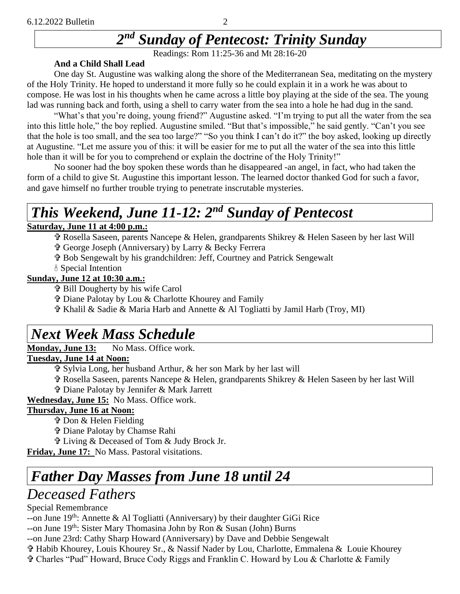# *2 nd Sunday of Pentecost: Trinity Sunday*

Readings: Rom 11:25-36 and Mt 28:16-20

#### **And a Child Shall Lead**

One day St. Augustine was walking along the shore of the Mediterranean Sea, meditating on the mystery of the Holy Trinity. He hoped to understand it more fully so he could explain it in a work he was about to compose. He was lost in his thoughts when he came across a little boy playing at the side of the sea. The young lad was running back and forth, using a shell to carry water from the sea into a hole he had dug in the sand.

"What's that you're doing, young friend?" Augustine asked. "I'm trying to put all the water from the sea into this little hole," the boy replied. Augustine smiled. "But that's impossible," he said gently. "Can't you see that the hole is too small, and the sea too large?" "So you think I can't do it?" the boy asked, looking up directly at Augustine. "Let me assure you of this: it will be easier for me to put all the water of the sea into this little hole than it will be for you to comprehend or explain the doctrine of the Holy Trinity!"

No sooner had the boy spoken these words than he disappeared -an angel, in fact, who had taken the form of a child to give St. Augustine this important lesson. The learned doctor thanked God for such a favor, and gave himself no further trouble trying to penetrate inscrutable mysteries.

# *This Weekend, June 11-12: 2 nd Sunday of Pentecost*

#### **Saturday, June 11 at 4:00 p.m.:**

Rosella Saseen, parents Nancepe & Helen, grandparents Shikrey & Helen Saseen by her last Will

- George Joseph (Anniversary) by Larry & Becky Ferrera
- Bob Sengewalt by his grandchildren: Jeff, Courtney and Patrick Sengewalt
- Special Intention

#### **Sunday, June 12 at 10:30 a.m.:**

- Bill Dougherty by his wife Carol
- Diane Palotay by Lou & Charlotte Khourey and Family
- Khalil & Sadie & Maria Harb and Annette & Al Togliatti by Jamil Harb (Troy, MI)

#### *Next Week Mass Schedule*

**Monday, June 13:** No Mass, Office work.

#### **Tuesday, June 14 at Noon:**

- Sylvia Long, her husband Arthur, & her son Mark by her last will
- Rosella Saseen, parents Nancepe & Helen, grandparents Shikrey & Helen Saseen by her last Will
- Diane Palotay by Jennifer & Mark Jarrett

**Wednesday, June 15:** No Mass. Office work.

#### **Thursday, June 16 at Noon:**

- Don & Helen Fielding
- Diane Palotay by Chamse Rahi
- Living & Deceased of Tom & Judy Brock Jr.

**Friday, June 17:** No Mass. Pastoral visitations.

### *Father Day Masses from June 18 until 24*

#### *Deceased Fathers*

#### Special Remembrance

--on June  $19^{th}$ : Annette & Al Togliatti (Anniversary) by their daughter GiGi Rice

- --on June 19<sup>th</sup>: Sister Mary Thomasina John by Ron & Susan (John) Burns
- --on June 23rd: Cathy Sharp Howard (Anniversary) by Dave and Debbie Sengewalt
- Habib Khourey, Louis Khourey Sr., & Nassif Nader by Lou, Charlotte, Emmalena & Louie Khourey
- Charles "Pud" Howard, Bruce Cody Riggs and Franklin C. Howard by Lou & Charlotte & Family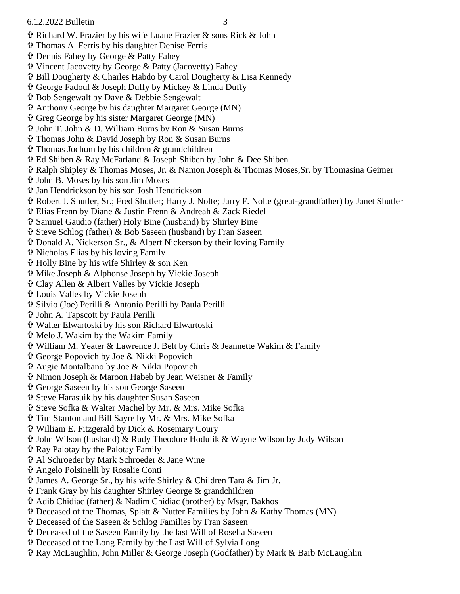- Richard W. Frazier by his wife Luane Frazier & sons Rick & John
- Thomas A. Ferris by his daughter Denise Ferris
- Dennis Fahey by George & Patty Fahey
- Vincent Jacovetty by George & Patty (Jacovetty) Fahey
- Bill Dougherty & Charles Habdo by Carol Dougherty & Lisa Kennedy
- George Fadoul & Joseph Duffy by Mickey & Linda Duffy
- Bob Sengewalt by Dave & Debbie Sengewalt
- Anthony George by his daughter Margaret George (MN)
- Greg George by his sister Margaret George (MN)
- John T. John & D. William Burns by Ron & Susan Burns
- Thomas John & David Joseph by Ron & Susan Burns
- Thomas Jochum by his children & grandchildren
- Ed Shiben & Ray McFarland & Joseph Shiben by John & Dee Shiben
- Ralph Shipley & Thomas Moses, Jr. & Namon Joseph & Thomas Moses,Sr. by Thomasina Geimer
- John B. Moses by his son Jim Moses
- Jan Hendrickson by his son Josh Hendrickson
- Robert J. Shutler, Sr.; Fred Shutler; Harry J. Nolte; Jarry F. Nolte (great-grandfather) by Janet Shutler
- Elias Frenn by Diane & Justin Frenn & Andreah & Zack Riedel
- Samuel Gaudio (father) Holy Bine (husband) by Shirley Bine
- Steve Schlog (father) & Bob Saseen (husband) by Fran Saseen
- Donald A. Nickerson Sr., & Albert Nickerson by their loving Family
- Nicholas Elias by his loving Family
- Holly Bine by his wife Shirley & son Ken
- Mike Joseph & Alphonse Joseph by Vickie Joseph
- Clay Allen & Albert Valles by Vickie Joseph
- Louis Valles by Vickie Joseph
- Silvio (Joe) Perilli & Antonio Perilli by Paula Perilli
- John A. Tapscott by Paula Perilli
- Walter Elwartoski by his son Richard Elwartoski
- Melo J. Wakim by the Wakim Family
- William M. Yeater & Lawrence J. Belt by Chris & Jeannette Wakim & Family
- George Popovich by Joe & Nikki Popovich
- Augie Montalbano by Joe & Nikki Popovich
- Nimon Joseph & Maroon Habeb by Jean Weisner & Family
- George Saseen by his son George Saseen
- Steve Harasuik by his daughter Susan Saseen
- Steve Sofka & Walter Machel by Mr. & Mrs. Mike Sofka
- Tim Stanton and Bill Sayre by Mr. & Mrs. Mike Sofka
- William E. Fitzgerald by Dick & Rosemary Coury
- John Wilson (husband) & Rudy Theodore Hodulik & Wayne Wilson by Judy Wilson
- Ray Palotay by the Palotay Family
- Al Schroeder by Mark Schroeder & Jane Wine
- Angelo Polsinelli by Rosalie Conti
- James A. George Sr., by his wife Shirley & Children Tara & Jim Jr.
- Frank Gray by his daughter Shirley George & grandchildren
- Adib Chidiac (father) & Nadim Chidiac (brother) by Msgr. Bakhos
- Deceased of the Thomas, Splatt & Nutter Families by John & Kathy Thomas (MN)
- Deceased of the Saseen & Schlog Families by Fran Saseen
- Deceased of the Saseen Family by the last Will of Rosella Saseen
- Deceased of the Long Family by the Last Will of Sylvia Long
- Ray McLaughlin, John Miller & George Joseph (Godfather) by Mark & Barb McLaughlin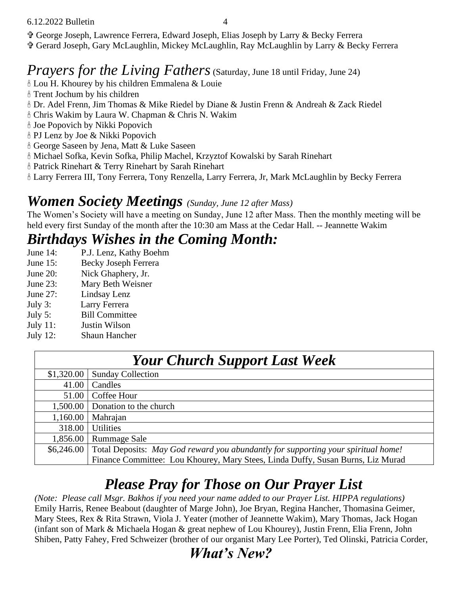George Joseph, Lawrence Ferrera, Edward Joseph, Elias Joseph by Larry & Becky Ferrera Gerard Joseph, Gary McLaughlin, Mickey McLaughlin, Ray McLaughlin by Larry & Becky Ferrera

### *Prayers for the Living Fathers* (Saturday, June 18 until Friday, June 24)

Lou H. Khourey by his children Emmalena & Louie

- Trent Jochum by his children
- Dr. Adel Frenn, Jim Thomas & Mike Riedel by Diane & Justin Frenn & Andreah & Zack Riedel
- Chris Wakim by Laura W. Chapman & Chris N. Wakim
- Joe Popovich by Nikki Popovich
- PJ Lenz by Joe & Nikki Popovich
- George Saseen by Jena, Matt & Luke Saseen
- Michael Sofka, Kevin Sofka, Philip Machel, Krzyztof Kowalski by Sarah Rinehart
- Patrick Rinehart & Terry Rinehart by Sarah Rinehart
- Larry Ferrera III, Tony Ferrera, Tony Renzella, Larry Ferrera, Jr, Mark McLaughlin by Becky Ferrera

#### *Women Society Meetings (Sunday, June 12 after Mass)*

The Women's Society will have a meeting on Sunday, June 12 after Mass. Then the monthly meeting will be held every first Sunday of the month after the 10:30 am Mass at the Cedar Hall. -- Jeannette Wakim

### *Birthdays Wishes in the Coming Month:*

- June 14: P.J. Lenz, Kathy Boehm
- June 15: Becky Joseph Ferrera
- June 20: Nick Ghaphery, Jr.
- June 23: Mary Beth Weisner
- June 27: Lindsay Lenz
- July 3: Larry Ferrera
- July 5: Bill Committee
- July 11: Justin Wilson
- July 12: Shaun Hancher

| <b>Your Church Support Last Week</b> |                                                                                              |  |  |  |
|--------------------------------------|----------------------------------------------------------------------------------------------|--|--|--|
| \$1,320.00                           | <b>Sunday Collection</b>                                                                     |  |  |  |
| 41.00                                | Candles                                                                                      |  |  |  |
| 51.00                                | Coffee Hour                                                                                  |  |  |  |
|                                      | 1,500.00 Donation to the church                                                              |  |  |  |
| 1,160.00                             | Mahrajan                                                                                     |  |  |  |
| 318.00                               | <b>Utilities</b>                                                                             |  |  |  |
| 1,856.00                             | <b>Rummage Sale</b>                                                                          |  |  |  |
|                                      | \$6,246.00 Total Deposits: May God reward you abundantly for supporting your spiritual home! |  |  |  |
|                                      | Finance Committee: Lou Khourey, Mary Stees, Linda Duffy, Susan Burns, Liz Murad              |  |  |  |

## *Please Pray for Those on Our Prayer List*

*(Note: Please call Msgr. Bakhos if you need your name added to our Prayer List. HIPPA regulations)* Emily Harris, Renee Beabout (daughter of Marge John), Joe Bryan, Regina Hancher, Thomasina Geimer, Mary Stees, Rex & Rita Strawn, Viola J. Yeater (mother of Jeannette Wakim), Mary Thomas, Jack Hogan (infant son of Mark & Michaela Hogan & great nephew of Lou Khourey), Justin Frenn, Elia Frenn, John Shiben, Patty Fahey, Fred Schweizer (brother of our organist Mary Lee Porter), Ted Olinski, Patricia Corder,

#### *What's New?*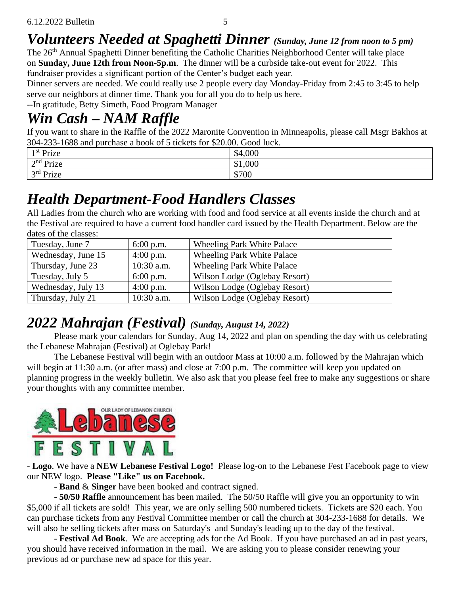### *Volunteers Needed at Spaghetti Dinner (Sunday, June 12 from noon to 5 pm)*

The 26<sup>th</sup> Annual Spaghetti Dinner benefiting the Catholic Charities Neighborhood Center will take place on **Sunday, June 12th from Noon-5p.m**. The dinner will be a curbside take-out event for 2022. This fundraiser provides a significant portion of the Center's budget each year.

Dinner servers are needed. We could really use 2 people every day Monday-Friday from 2:45 to 3:45 to help serve our neighbors at dinner time. Thank you for all you do to help us here.

--In gratitude, Betty Simeth, Food Program Manager

### *Win Cash – NAM Raffle*

If you want to share in the Raffle of the 2022 Maronite Convention in Minneapolis, please call Msgr Bakhos at 304-233-1688 and purchase a book of 5 tickets for \$20.00. Good luck.

| 1 <sup>st</sup> Prize        | \$4,000 |
|------------------------------|---------|
| $\gamma$ <sup>nd</sup> Prize | \$1,000 |
| 3rd Prize                    | \$700   |

### *Health Department-Food Handlers Classes*

All Ladies from the church who are working with food and food service at all events inside the church and at the Festival are required to have a current food handler card issued by the Health Department. Below are the dates of the classes:

| Tuesday, June 7    | $6:00$ p.m.  | <b>Wheeling Park White Palace</b> |
|--------------------|--------------|-----------------------------------|
| Wednesday, June 15 | $4:00$ p.m.  | <b>Wheeling Park White Palace</b> |
| Thursday, June 23  | $10:30$ a.m. | <b>Wheeling Park White Palace</b> |
| Tuesday, July 5    | $6:00$ p.m.  | Wilson Lodge (Oglebay Resort)     |
| Wednesday, July 13 | $4:00$ p.m.  | Wilson Lodge (Oglebay Resort)     |
| Thursday, July 21  | 10:30 a.m.   | Wilson Lodge (Oglebay Resort)     |

### *2022 Mahrajan (Festival) (Sunday, August 14, 2022)*

Please mark your calendars for Sunday, Aug 14, 2022 and plan on spending the day with us celebrating the Lebanese Mahrajan (Festival) at Oglebay Park!

The Lebanese Festival will begin with an outdoor Mass at 10:00 a.m. followed by the Mahrajan which will begin at 11:30 a.m. (or after mass) and close at 7:00 p.m. The committee will keep you updated on planning progress in the weekly bulletin. We also ask that you please feel free to make any suggestions or share your thoughts with any committee member.



- **Logo**. We have a **NEW Lebanese Festival Logo!** Please log-on to the Lebanese Fest Facebook page to view our NEW logo. **Please "Like" us on Facebook.**

- **Band** & **Singer** have been booked and contract signed.

- **50/50 Raffle** announcement has been mailed. The 50/50 Raffle will give you an opportunity to win \$5,000 if all tickets are sold! This year, we are only selling 500 numbered tickets. Tickets are \$20 each. You can purchase tickets from any Festival Committee member or call the church at 304-233-1688 for details. We will also be selling tickets after mass on Saturday's and Sunday's leading up to the day of the festival.

- **Festival Ad Book**. We are accepting ads for the Ad Book. If you have purchased an ad in past years, you should have received information in the mail. We are asking you to please consider renewing your previous ad or purchase new ad space for this year.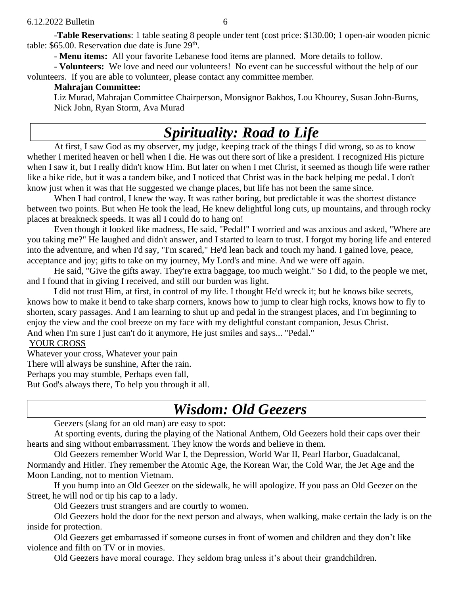-**Table Reservations**: 1 table seating 8 people under tent (cost price: \$130.00; 1 open-air wooden picnic table:  $$65.00$ . Reservation due date is June  $29<sup>th</sup>$ .

- **Menu items:** All your favorite Lebanese food items are planned. More details to follow.

- **Volunteers:** We love and need our volunteers! No event can be successful without the help of our volunteers. If you are able to volunteer, please contact any committee member.

#### **Mahrajan Committee:**

Liz Murad, Mahrajan Committee Chairperson, Monsignor Bakhos, Lou Khourey, Susan John-Burns, Nick John, Ryan Storm, Ava Murad

## *Spirituality: Road to Life*

At first, I saw God as my observer, my judge, keeping track of the things I did wrong, so as to know whether I merited heaven or hell when I die. He was out there sort of like a president. I recognized His picture when I saw it, but I really didn't know Him. But later on when I met Christ, it seemed as though life were rather like a bike ride, but it was a tandem bike, and I noticed that Christ was in the back helping me pedal. I don't know just when it was that He suggested we change places, but life has not been the same since.

When I had control, I knew the way. It was rather boring, but predictable it was the shortest distance between two points. But when He took the lead, He knew delightful long cuts, up mountains, and through rocky places at breakneck speeds. It was all I could do to hang on!

Even though it looked like madness, He said, "Pedal!" I worried and was anxious and asked, "Where are you taking me?" He laughed and didn't answer, and I started to learn to trust. I forgot my boring life and entered into the adventure, and when I'd say, "I'm scared," He'd lean back and touch my hand. I gained love, peace, acceptance and joy; gifts to take on my journey, My Lord's and mine. And we were off again.

He said, "Give the gifts away. They're extra baggage, too much weight." So I did, to the people we met, and I found that in giving I received, and still our burden was light.

I did not trust Him, at first, in control of my life. I thought He'd wreck it; but he knows bike secrets, knows how to make it bend to take sharp corners, knows how to jump to clear high rocks, knows how to fly to shorten, scary passages. And I am learning to shut up and pedal in the strangest places, and I'm beginning to enjoy the view and the cool breeze on my face with my delightful constant companion, Jesus Christ.

And when I'm sure I just can't do it anymore, He just smiles and says... "Pedal."

#### YOUR CROSS

Whatever your cross, Whatever your pain

There will always be sunshine, After the rain.

Perhaps you may stumble, Perhaps even fall,

But God's always there, To help you through it all.

#### *Wisdom: Old Geezers*

Geezers (slang for an old man) are easy to spot:

At sporting events, during the playing of the National Anthem, Old Geezers hold their caps over their hearts and sing without embarrassment. They know the words and believe in them.

Old Geezers remember World War I, the Depression, World War II, Pearl Harbor, Guadalcanal, Normandy and Hitler. They remember the Atomic Age, the Korean War, the Cold War, the Jet Age and the Moon Landing, not to mention Vietnam.

If you bump into an Old Geezer on the sidewalk, he will apologize. If you pass an Old Geezer on the Street, he will nod or tip his cap to a lady.

Old Geezers trust strangers and are courtly to women.

Old Geezers hold the door for the next person and always, when walking, make certain the lady is on the inside for protection.

Old Geezers get embarrassed if someone curses in front of women and children and they don't like violence and filth on TV or in movies.

Old Geezers have moral courage. They seldom brag unless it's about their grandchildren.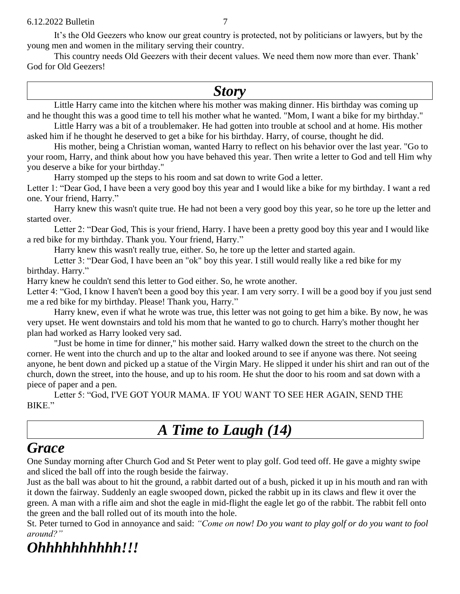It's the Old Geezers who know our great country is protected, not by politicians or lawyers, but by the young men and women in the military serving their country.

This country needs Old Geezers with their decent values. We need them now more than ever. Thank' God for Old Geezers!

#### *Story*

Little Harry came into the kitchen where his mother was making dinner. His birthday was coming up and he thought this was a good time to tell his mother what he wanted. "Mom, I want a bike for my birthday."

Little Harry was a bit of a troublemaker. He had gotten into trouble at school and at home. His mother asked him if he thought he deserved to get a bike for his birthday. Harry, of course, thought he did.

His mother, being a Christian woman, wanted Harry to reflect on his behavior over the last year. "Go to your room, Harry, and think about how you have behaved this year. Then write a letter to God and tell Him why you deserve a bike for your birthday."

Harry stomped up the steps to his room and sat down to write God a letter.

Letter 1: "Dear God, I have been a very good boy this year and I would like a bike for my birthday. I want a red one. Your friend, Harry."

Harry knew this wasn't quite true. He had not been a very good boy this year, so he tore up the letter and started over.

Letter 2: "Dear God, This is your friend, Harry. I have been a pretty good boy this year and I would like a red bike for my birthday. Thank you. Your friend, Harry."

Harry knew this wasn't really true, either. So, he tore up the letter and started again.

Letter 3: "Dear God, I have been an "ok" boy this year. I still would really like a red bike for my birthday. Harry."

Harry knew he couldn't send this letter to God either. So, he wrote another.

Letter 4: "God, I know I haven't been a good boy this year. I am very sorry. I will be a good boy if you just send me a red bike for my birthday. Please! Thank you, Harry."

Harry knew, even if what he wrote was true, this letter was not going to get him a bike. By now, he was very upset. He went downstairs and told his mom that he wanted to go to church. Harry's mother thought her plan had worked as Harry looked very sad.

"Just be home in time for dinner," his mother said. Harry walked down the street to the church on the corner. He went into the church and up to the altar and looked around to see if anyone was there. Not seeing anyone, he bent down and picked up a statue of the Virgin Mary. He slipped it under his shirt and ran out of the church, down the street, into the house, and up to his room. He shut the door to his room and sat down with a piece of paper and a pen.

Letter 5: "God, I'VE GOT YOUR MAMA. IF YOU WANT TO SEE HER AGAIN, SEND THE BIKE."

### *A Time to Laugh (14)*

### *Grace*

One Sunday morning after Church God and St Peter went to play golf. God teed off. He gave a mighty swipe and sliced the ball off into the rough beside the fairway.

Just as the ball was about to hit the ground, a rabbit darted out of a bush, picked it up in his mouth and ran with it down the fairway. Suddenly an eagle swooped down, picked the rabbit up in its claws and flew it over the green. A man with a rifle aim and shot the eagle in mid-flight the eagle let go of the rabbit. The rabbit fell onto the green and the ball rolled out of its mouth into the hole.

St. Peter turned to God in annoyance and said: *"Come on now! Do you want to play golf or do you want to fool around?"*

## *Ohhhhhhhhhh!!!*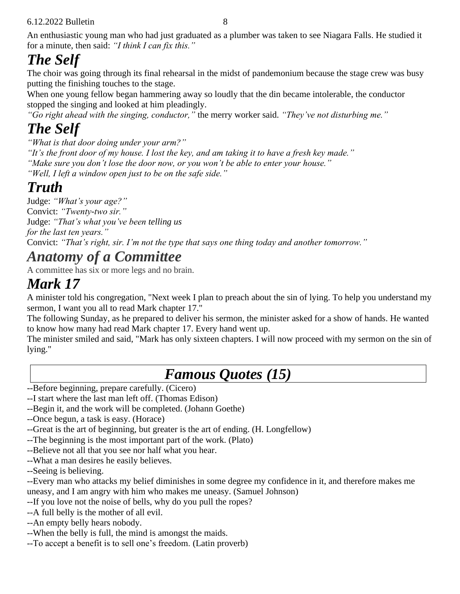An enthusiastic young man who had just graduated as a plumber was taken to see Niagara Falls. He studied it for a minute, then said: *"I think I can fix this."*

# *The Self*

The choir was going through its final rehearsal in the midst of pandemonium because the stage crew was busy putting the finishing touches to the stage.

When one young fellow began hammering away so loudly that the din became intolerable, the conductor stopped the singing and looked at him pleadingly.

*"Go right ahead with the singing, conductor,"* the merry worker said. *"They've not disturbing me."*

# *The Self*

*"What is that door doing under your arm?" "It's the front door of my house. I lost the key, and am taking it to have a fresh key made." "Make sure you don't lose the door now, or you won't be able to enter your house." "Well, I left a window open just to be on the safe side."*

# *Truth*

Judge: *"What's your age?"* Convict: *"Twenty-two sir."*

Judge: *"That's what you've been telling us* 

*for the last ten years."*

Convict: *"That's right, sir. I'm not the type that says one thing today and another tomorrow."*

# *Anatomy of a Committee*

A committee has six or more legs and no brain.

# *Mark 17*

A minister told his congregation, "Next week I plan to preach about the sin of lying. To help you understand my sermon, I want you all to read Mark chapter 17."

The following Sunday, as he prepared to deliver his sermon, the minister asked for a show of hands. He wanted to know how many had read Mark chapter 17. Every hand went up.

The minister smiled and said, "Mark has only sixteen chapters. I will now proceed with my sermon on the sin of lying."

# *Famous Quotes (15)*

--Before beginning, prepare carefully. (Cicero)

--I start where the last man left off. (Thomas Edison)

- --Begin it, and the work will be completed. (Johann Goethe)
- --Once begun, a task is easy. (Horace)
- --Great is the art of beginning, but greater is the art of ending. (H. Longfellow)
- --The beginning is the most important part of the work. (Plato)
- --Believe not all that you see nor half what you hear.
- --What a man desires he easily believes.
- --Seeing is believing.

--Every man who attacks my belief diminishes in some degree my confidence in it, and therefore makes me uneasy, and I am angry with him who makes me uneasy. (Samuel Johnson)

- --If you love not the noise of bells, why do you pull the ropes?
- --A full belly is the mother of all evil.
- --An empty belly hears nobody.
- --When the belly is full, the mind is amongst the maids.
- --To accept a benefit is to sell one's freedom. (Latin proverb)